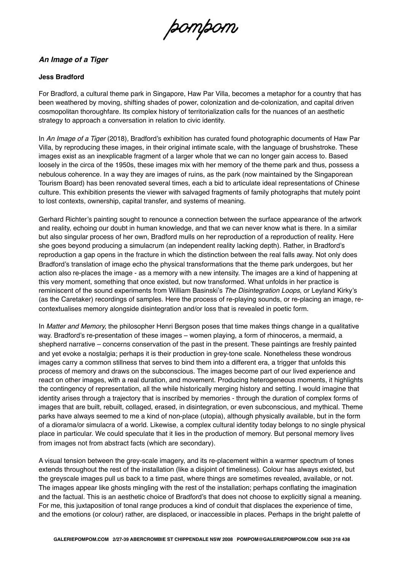pompom

## *An Image of a Tiger*

## **Jess Bradford**

For Bradford, a cultural theme park in Singapore, Haw Par Villa, becomes a metaphor for a country that has been weathered by moving, shifting shades of power, colonization and de-colonization, and capital driven cosmopolitan thoroughfare. Its complex history of territorialization calls for the nuances of an aesthetic strategy to approach a conversation in relation to civic identity.

In *An Image of a Tiger* (2018)*,* Bradford's exhibition has curated found photographic documents of Haw Par Villa, by reproducing these images, in their original intimate scale, with the language of brushstroke. These images exist as an inexplicable fragment of a larger whole that we can no longer gain access to. Based loosely in the circa of the 1950s, these images mix with her memory of the theme park and thus, possess a nebulous coherence. In a way they are images of ruins, as the park (now maintained by the Singaporean Tourism Board) has been renovated several times, each a bid to articulate ideal representations of Chinese culture. This exhibition presents the viewer with salvaged fragments of family photographs that mutely point to lost contexts, ownership, capital transfer, and systems of meaning.

Gerhard Richter's painting sought to renounce a connection between the surface appearance of the artwork and reality, echoing our doubt in human knowledge, and that we can never know what is there. In a similar but also singular process of her own, Bradford mulls on her reproduction of a reproduction of reality. Here she goes beyond producing a simulacrum (an independent reality lacking depth). Rather, in Bradford's reproduction a gap opens in the fracture in which the distinction between the real falls away. Not only does Bradford's translation of image echo the physical transformations that the theme park undergoes, but her action also re-places the image - as a memory with a new intensity. The images are a kind of happening at this very moment, something that once existed, but now transformed. What unfolds in her practice is reminiscent of the sound experiments from William Basinski's *The Disintegration Loops*, or Leyland Kirky's (as the Caretaker) recordings of samples. Here the process of re-playing sounds, or re-placing an image, recontextualises memory alongside disintegration and/or loss that is revealed in poetic form.

In *Matter and Memory,* the philosopher Henri Bergson poses that time makes things change in a qualitative way. Bradford's re-presentation of these images – women playing, a form of rhinoceros, a mermaid, a shepherd narrative – concerns conservation of the past in the present. These paintings are freshly painted and yet evoke a nostalgia; perhaps it is their production in grey-tone scale. Nonetheless these wondrous images carry a common stillness that serves to bind them into a different era, a trigger that unfolds this process of memory and draws on the subconscious. The images become part of our lived experience and react on other images, with a real duration, and movement. Producing heterogeneous moments, it highlights the contingency of representation, all the while historically merging history and setting. I would imagine that identity arises through a trajectory that is inscribed by memories - through the duration of complex forms of images that are built, rebuilt, collaged, erased, in disintegration, or even subconscious, and mythical. Theme parks have always seemed to me a kind of non-place (utopia), although physically available, but in the form of a diorama/or simulacra of a world. Likewise, a complex cultural identity today belongs to no single physical place in particular. We could speculate that it lies in the production of memory. But personal memory lives from images not from abstract facts (which are secondary).

A visual tension between the grey-scale imagery, and its re-placement within a warmer spectrum of tones extends throughout the rest of the installation (like a disjoint of timeliness). Colour has always existed, but the greyscale images pull us back to a time past, where things are sometimes revealed, available, or not. The images appear like ghosts mingling with the rest of the installation; perhaps conflating the imagination and the factual. This is an aesthetic choice of Bradford's that does not choose to explicitly signal a meaning. For me, this juxtaposition of tonal range produces a kind of conduit that displaces the experience of time, and the emotions (or colour) rather, are displaced, or inaccessible in places. Perhaps in the bright palette of